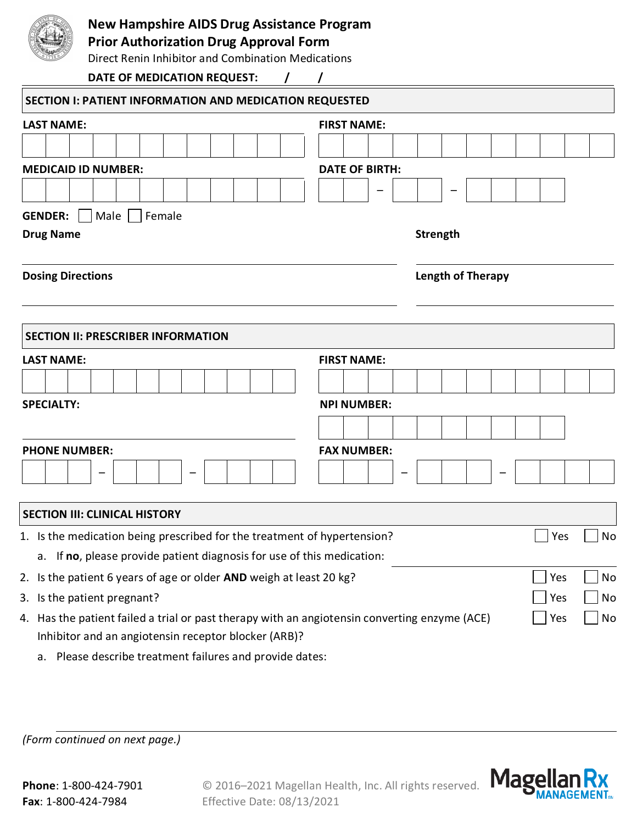|                                                                                               | <b>New Hampshire AIDS Drug Assistance Program</b><br><b>Prior Authorization Drug Approval Form</b><br>Direct Renin Inhibitor and Combination Medications |                          |                    |  |  |  |                    |                       |  |  |  |     |     |    |     |    |  |  |  |
|-----------------------------------------------------------------------------------------------|----------------------------------------------------------------------------------------------------------------------------------------------------------|--------------------------|--------------------|--|--|--|--------------------|-----------------------|--|--|--|-----|-----|----|-----|----|--|--|--|
|                                                                                               | DATE OF MEDICATION REQUEST:                                                                                                                              |                          |                    |  |  |  |                    |                       |  |  |  |     |     |    |     |    |  |  |  |
| SECTION I: PATIENT INFORMATION AND MEDICATION REQUESTED                                       |                                                                                                                                                          |                          |                    |  |  |  |                    |                       |  |  |  |     |     |    |     |    |  |  |  |
| <b>LAST NAME:</b>                                                                             | <b>FIRST NAME:</b>                                                                                                                                       |                          |                    |  |  |  |                    |                       |  |  |  |     |     |    |     |    |  |  |  |
|                                                                                               |                                                                                                                                                          |                          |                    |  |  |  |                    |                       |  |  |  |     |     |    |     |    |  |  |  |
| <b>MEDICAID ID NUMBER:</b>                                                                    |                                                                                                                                                          |                          |                    |  |  |  |                    | <b>DATE OF BIRTH:</b> |  |  |  |     |     |    |     |    |  |  |  |
|                                                                                               |                                                                                                                                                          |                          |                    |  |  |  |                    |                       |  |  |  |     |     |    |     |    |  |  |  |
| <b>GENDER:</b>                                                                                | Male                                                                                                                                                     | Female                   |                    |  |  |  |                    |                       |  |  |  |     |     |    |     |    |  |  |  |
| <b>Drug Name</b>                                                                              |                                                                                                                                                          |                          |                    |  |  |  |                    | <b>Strength</b>       |  |  |  |     |     |    |     |    |  |  |  |
| <b>Dosing Directions</b>                                                                      |                                                                                                                                                          | <b>Length of Therapy</b> |                    |  |  |  |                    |                       |  |  |  |     |     |    |     |    |  |  |  |
| <b>SECTION II: PRESCRIBER INFORMATION</b><br><b>LAST NAME:</b>                                |                                                                                                                                                          |                          |                    |  |  |  | <b>FIRST NAME:</b> |                       |  |  |  |     |     |    |     |    |  |  |  |
|                                                                                               |                                                                                                                                                          |                          |                    |  |  |  |                    |                       |  |  |  |     |     |    |     |    |  |  |  |
| <b>SPECIALTY:</b>                                                                             |                                                                                                                                                          |                          |                    |  |  |  |                    | <b>NPI NUMBER:</b>    |  |  |  |     |     |    |     |    |  |  |  |
|                                                                                               |                                                                                                                                                          |                          |                    |  |  |  |                    |                       |  |  |  |     |     |    |     |    |  |  |  |
| <b>PHONE NUMBER:</b>                                                                          |                                                                                                                                                          |                          | <b>FAX NUMBER:</b> |  |  |  |                    |                       |  |  |  |     |     |    |     |    |  |  |  |
|                                                                                               |                                                                                                                                                          |                          |                    |  |  |  |                    |                       |  |  |  |     |     |    |     |    |  |  |  |
| <b>SECTION III: CLINICAL HISTORY</b>                                                          |                                                                                                                                                          |                          |                    |  |  |  |                    |                       |  |  |  |     |     |    |     |    |  |  |  |
| 1. Is the medication being prescribed for the treatment of hypertension?                      |                                                                                                                                                          |                          |                    |  |  |  |                    |                       |  |  |  | Yes | No  |    |     |    |  |  |  |
|                                                                                               | a. If no, please provide patient diagnosis for use of this medication:                                                                                   |                          |                    |  |  |  |                    |                       |  |  |  |     |     |    |     |    |  |  |  |
| 2. Is the patient 6 years of age or older AND weigh at least 20 kg?                           |                                                                                                                                                          |                          |                    |  |  |  |                    |                       |  |  |  | Yes | No  |    |     |    |  |  |  |
| 3. Is the patient pregnant?                                                                   |                                                                                                                                                          |                          |                    |  |  |  |                    |                       |  |  |  |     | Yes | No |     |    |  |  |  |
| 4. Has the patient failed a trial or past therapy with an angiotensin converting enzyme (ACE) | Inhibitor and an angiotensin receptor blocker (ARB)?                                                                                                     |                          |                    |  |  |  |                    |                       |  |  |  |     |     |    | Yes | No |  |  |  |

a. Please describe treatment failures and provide dates:

*(Form continued on next page.)*